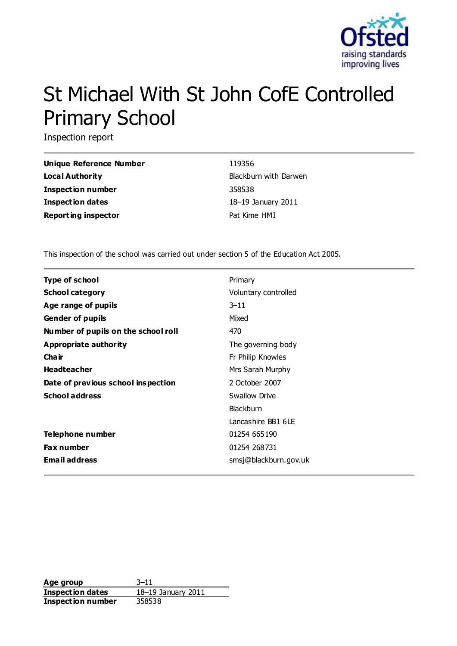

# St Michael With St John CofE Controlled Primary School

Inspection report

| Unique Reference Number    | 119356                |
|----------------------------|-----------------------|
| Local Authority            | Blackburn with Darwen |
| Inspection number          | 358538                |
| Inspection dates           | 18-19 January 2011    |
| <b>Reporting inspector</b> | Pat Kime HMI          |

This inspection of the school was carried out under section 5 of the Education Act 2005.

| <b>Type of school</b>               | Primary               |
|-------------------------------------|-----------------------|
| <b>School category</b>              | Voluntary controlled  |
| Age range of pupils                 | $3 - 11$              |
| <b>Gender of pupils</b>             | Mixed                 |
| Number of pupils on the school roll | 470                   |
| Appropriate authority               | The governing body    |
| Cha ir                              | Fr Philip Knowles     |
| <b>Headteacher</b>                  | Mrs Sarah Murphy      |
| Date of previous school inspection  | 2 October 2007        |
| <b>School address</b>               | Swallow Drive         |
|                                     | <b>Blackburn</b>      |
|                                     | Lancashire BB1 6LF    |
| Telephone number                    | 01254 665190          |
| <b>Fax number</b>                   | 01254 268731          |
| <b>Email address</b>                | smsj@blackburn.gov.uk |

**Age group** 3–11 **Inspection dates** 18–19 January 2011 **Inspection number** 358538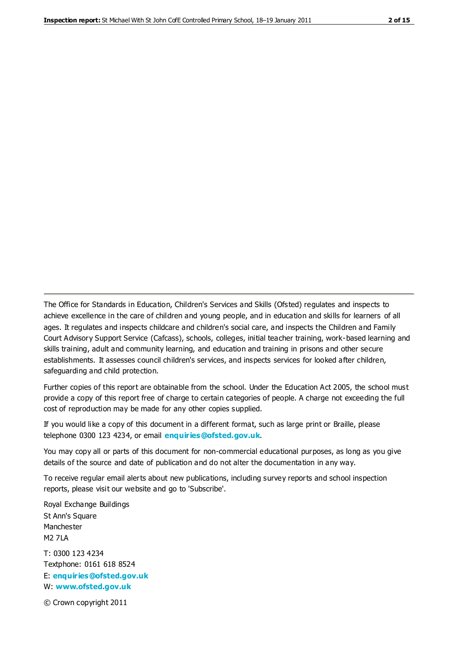The Office for Standards in Education, Children's Services and Skills (Ofsted) regulates and inspects to achieve excellence in the care of children and young people, and in education and skills for learners of all ages. It regulates and inspects childcare and children's social care, and inspects the Children and Family Court Advisory Support Service (Cafcass), schools, colleges, initial teacher training, work-based learning and skills training, adult and community learning, and education and training in prisons and other secure establishments. It assesses council children's services, and inspects services for looked after children, safeguarding and child protection.

Further copies of this report are obtainable from the school. Under the Education Act 2005, the school must provide a copy of this report free of charge to certain categories of people. A charge not exceeding the full cost of reproduction may be made for any other copies supplied.

If you would like a copy of this document in a different format, such as large print or Braille, please telephone 0300 123 4234, or email **[enquiries@ofsted.gov.uk](mailto:enquiries@ofsted.gov.uk)**.

You may copy all or parts of this document for non-commercial educational purposes, as long as you give details of the source and date of publication and do not alter the documentation in any way.

To receive regular email alerts about new publications, including survey reports and school inspection reports, please visit our website and go to 'Subscribe'.

Royal Exchange Buildings St Ann's Square Manchester M2 7LA T: 0300 123 4234 Textphone: 0161 618 8524 E: **[enquiries@ofsted.gov.uk](mailto:enquiries@ofsted.gov.uk)**

W: **[www.ofsted.gov.uk](http://www.ofsted.gov.uk/)**

© Crown copyright 2011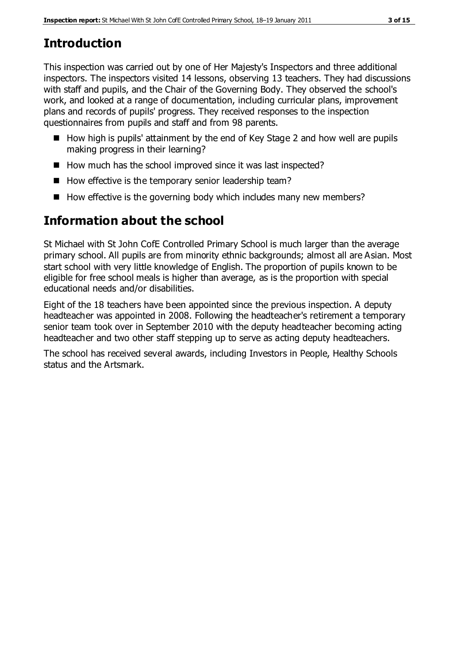# **Introduction**

This inspection was carried out by one of Her Majesty's Inspectors and three additional inspectors. The inspectors visited 14 lessons, observing 13 teachers. They had discussions with staff and pupils, and the Chair of the Governing Body. They observed the school's work, and looked at a range of documentation, including curricular plans, improvement plans and records of pupils' progress. They received responses to the inspection questionnaires from pupils and staff and from 98 parents.

- $\blacksquare$  How high is pupils' attainment by the end of Key Stage 2 and how well are pupils making progress in their learning?
- How much has the school improved since it was last inspected?
- How effective is the temporary senior leadership team?
- $\blacksquare$  How effective is the governing body which includes many new members?

# **Information about the school**

St Michael with St John CofE Controlled Primary School is much larger than the average primary school. All pupils are from minority ethnic backgrounds; almost all are Asian. Most start school with very little knowledge of English. The proportion of pupils known to be eligible for free school meals is higher than average, as is the proportion with special educational needs and/or disabilities.

Eight of the 18 teachers have been appointed since the previous inspection. A deputy headteacher was appointed in 2008. Following the headteacher's retirement a temporary senior team took over in September 2010 with the deputy headteacher becoming acting headteacher and two other staff stepping up to serve as acting deputy headteachers.

The school has received several awards, including Investors in People, Healthy Schools status and the Artsmark.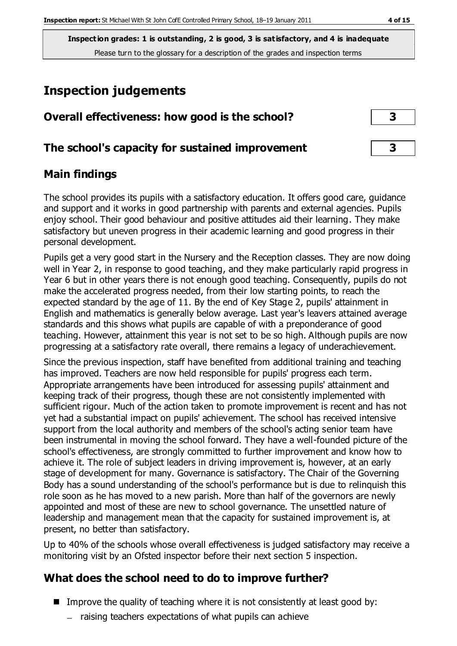# **Inspection judgements**

| Overall effectiveness: how good is the school? |  |
|------------------------------------------------|--|
|                                                |  |

## **The school's capacity for sustained improvement 3**

## **Main findings**

The school provides its pupils with a satisfactory education. It offers good care, guidance and support and it works in good partnership with parents and external agencies. Pupils enjoy school. Their good behaviour and positive attitudes aid their learning. They make satisfactory but uneven progress in their academic learning and good progress in their personal development.

Pupils get a very good start in the Nursery and the Reception classes. They are now doing well in Year 2, in response to good teaching, and they make particularly rapid progress in Year 6 but in other years there is not enough good teaching. Consequently, pupils do not make the accelerated progress needed, from their low starting points, to reach the expected standard by the age of 11. By the end of Key Stage 2, pupils' attainment in English and mathematics is generally below average. Last year's leavers attained average standards and this shows what pupils are capable of with a preponderance of good teaching. However, attainment this year is not set to be so high. Although pupils are now progressing at a satisfactory rate overall, there remains a legacy of underachievement.

Since the previous inspection, staff have benefited from additional training and teaching has improved. Teachers are now held responsible for pupils' progress each term. Appropriate arrangements have been introduced for assessing pupils' attainment and keeping track of their progress, though these are not consistently implemented with sufficient rigour. Much of the action taken to promote improvement is recent and has not yet had a substantial impact on pupils' achievement. The school has received intensive support from the local authority and members of the school's acting senior team have been instrumental in moving the school forward. They have a well-founded picture of the school's effectiveness, are strongly committed to further improvement and know how to achieve it. The role of subject leaders in driving improvement is, however, at an early stage of development for many. Governance is satisfactory. The Chair of the Governing Body has a sound understanding of the school's performance but is due to relinquish this role soon as he has moved to a new parish. More than half of the governors are newly appointed and most of these are new to school governance. The unsettled nature of leadership and management mean that the capacity for sustained improvement is, at present, no better than satisfactory.

Up to 40% of the schools whose overall effectiveness is judged satisfactory may receive a monitoring visit by an Ofsted inspector before their next section 5 inspection.

## **What does the school need to do to improve further?**

- Improve the quality of teaching where it is not consistently at least good by:
	- $-$  raising teachers expectations of what pupils can achieve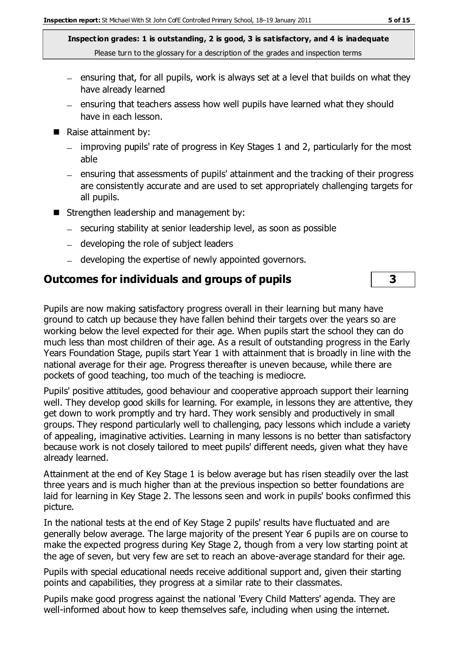- $=$  ensuring that, for all pupils, work is always set at a level that builds on what they have already learned
- ensuring that teachers assess how well pupils have learned what they should have in each lesson.
- Raise attainment by:
	- improving pupils' rate of progress in Key Stages 1 and 2, particularly for the most able
	- ensuring that assessments of pupils' attainment and the tracking of their progress are consistently accurate and are used to set appropriately challenging targets for all pupils.
- Strengthen leadership and management by:
	- securing stability at senior leadership level, as soon as possible
	- developing the role of subject leaders
	- developing the expertise of newly appointed governors.

## **Outcomes for individuals and groups of pupils 3**

Pupils are now making satisfactory progress overall in their learning but many have ground to catch up because they have fallen behind their targets over the years so are working below the level expected for their age. When pupils start the school they can do much less than most children of their age. As a result of outstanding progress in the Early Years Foundation Stage, pupils start Year 1 with attainment that is broadly in line with the national average for their age. Progress thereafter is uneven because, while there are pockets of good teaching, too much of the teaching is mediocre.

Pupils' positive attitudes, good behaviour and cooperative approach support their learning well. They develop good skills for learning. For example, in lessons they are attentive, they get down to work promptly and try hard. They work sensibly and productively in small groups. They respond particularly well to challenging, pacy lessons which include a variety of appealing, imaginative activities. Learning in many lessons is no better than satisfactory because work is not closely tailored to meet pupils' different needs, given what they have already learned.

Attainment at the end of Key Stage 1 is below average but has risen steadily over the last three years and is much higher than at the previous inspection so better foundations are laid for learning in Key Stage 2. The lessons seen and work in pupils' books confirmed this picture.

In the national tests at the end of Key Stage 2 pupils' results have fluctuated and are generally below average. The large majority of the present Year 6 pupils are on course to make the expected progress during Key Stage 2, though from a very low starting point at the age of seven, but very few are set to reach an above-average standard for their age.

Pupils with special educational needs receive additional support and, given their starting points and capabilities, they progress at a similar rate to their classmates.

Pupils make good progress against the national 'Every Child Matters' agenda. They are well-informed about how to keep themselves safe, including when using the internet.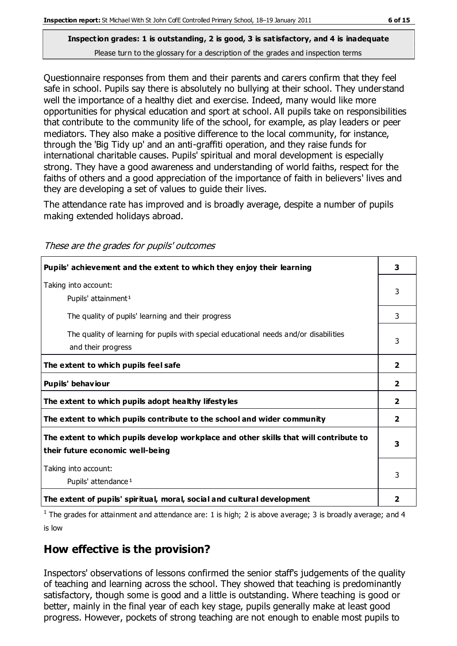Questionnaire responses from them and their parents and carers confirm that they feel safe in school. Pupils say there is absolutely no bullying at their school. They understand well the importance of a healthy diet and exercise. Indeed, many would like more opportunities for physical education and sport at school. All pupils take on responsibilities that contribute to the community life of the school, for example, as play leaders or peer mediators. They also make a positive difference to the local community, for instance, through the 'Big Tidy up' and an anti-graffiti operation, and they raise funds for international charitable causes. Pupils' spiritual and moral development is especially strong. They have a good awareness and understanding of world faiths, respect for the faiths of others and a good appreciation of the importance of faith in believers' lives and they are developing a set of values to guide their lives.

The attendance rate has improved and is broadly average, despite a number of pupils making extended holidays abroad.

These are the grades for pupils' outcomes

| Pupils' achievement and the extent to which they enjoy their learning                                                     | 3              |
|---------------------------------------------------------------------------------------------------------------------------|----------------|
| Taking into account:<br>Pupils' attainment <sup>1</sup>                                                                   | 3              |
| The quality of pupils' learning and their progress                                                                        | 3              |
| The quality of learning for pupils with special educational needs and/or disabilities<br>and their progress               | 3              |
| The extent to which pupils feel safe                                                                                      | $\mathbf{2}$   |
| Pupils' behaviour                                                                                                         | $\mathbf{2}$   |
| The extent to which pupils adopt healthy lifestyles                                                                       | 2              |
| The extent to which pupils contribute to the school and wider community                                                   | $\overline{2}$ |
| The extent to which pupils develop workplace and other skills that will contribute to<br>their future economic well-being | 3              |
| Taking into account:<br>Pupils' attendance <sup>1</sup>                                                                   | 3              |
| The extent of pupils' spiritual, moral, social and cultural development                                                   | 2              |

<sup>1</sup> The grades for attainment and attendance are: 1 is high; 2 is above average; 3 is broadly average; and 4 is low

## **How effective is the provision?**

Inspectors' observations of lessons confirmed the senior staff's judgements of the quality of teaching and learning across the school. They showed that teaching is predominantly satisfactory, though some is good and a little is outstanding. Where teaching is good or better, mainly in the final year of each key stage, pupils generally make at least good progress. However, pockets of strong teaching are not enough to enable most pupils to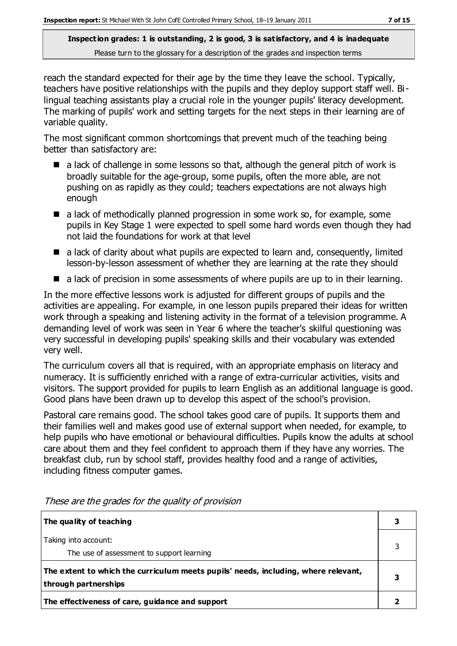reach the standard expected for their age by the time they leave the school. Typically, teachers have positive relationships with the pupils and they deploy support staff well. Bilingual teaching assistants play a crucial role in the younger pupils' literacy development. The marking of pupils' work and setting targets for the next steps in their learning are of variable quality.

The most significant common shortcomings that prevent much of the teaching being better than satisfactory are:

- $\blacksquare$  a lack of challenge in some lessons so that, although the general pitch of work is broadly suitable for the age-group, some pupils, often the more able, are not pushing on as rapidly as they could; teachers expectations are not always high enough
- a lack of methodically planned progression in some work so, for example, some pupils in Key Stage 1 were expected to spell some hard words even though they had not laid the foundations for work at that level
- $\blacksquare$  a lack of clarity about what pupils are expected to learn and, consequently, limited lesson-by-lesson assessment of whether they are learning at the rate they should
- a lack of precision in some assessments of where pupils are up to in their learning.

In the more effective lessons work is adjusted for different groups of pupils and the activities are appealing. For example, in one lesson pupils prepared their ideas for written work through a speaking and listening activity in the format of a television programme. A demanding level of work was seen in Year 6 where the teacher's skilful questioning was very successful in developing pupils' speaking skills and their vocabulary was extended very well.

The curriculum covers all that is required, with an appropriate emphasis on literacy and numeracy. It is sufficiently enriched with a range of extra-curricular activities, visits and visitors. The support provided for pupils to learn English as an additional language is good. Good plans have been drawn up to develop this aspect of the school's provision.

Pastoral care remains good. The school takes good care of pupils. It supports them and their families well and makes good use of external support when needed, for example, to help pupils who have emotional or behavioural difficulties. Pupils know the adults at school care about them and they feel confident to approach them if they have any worries. The breakfast club, run by school staff, provides healthy food and a range of activities, including fitness computer games.

| The quality of teaching                                                                                    |  |
|------------------------------------------------------------------------------------------------------------|--|
| Taking into account:<br>The use of assessment to support learning                                          |  |
| The extent to which the curriculum meets pupils' needs, including, where relevant,<br>through partnerships |  |
| The effectiveness of care, guidance and support                                                            |  |

These are the grades for the quality of provision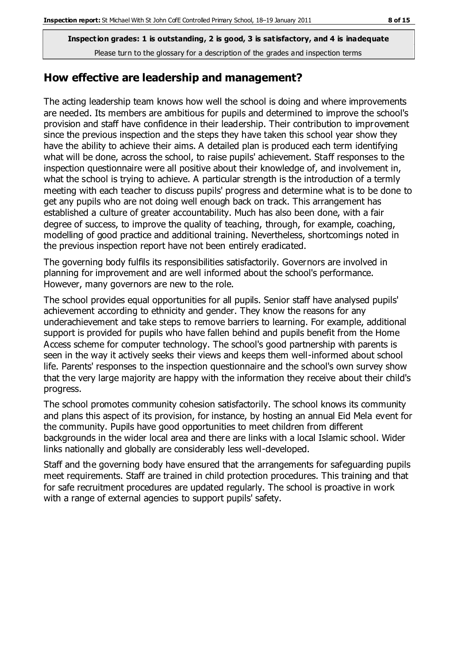#### **How effective are leadership and management?**

The acting leadership team knows how well the school is doing and where improvements are needed. Its members are ambitious for pupils and determined to improve the school's provision and staff have confidence in their leadership. Their contribution to improvement since the previous inspection and the steps they have taken this school year show they have the ability to achieve their aims. A detailed plan is produced each term identifying what will be done, across the school, to raise pupils' achievement. Staff responses to the inspection questionnaire were all positive about their knowledge of, and involvement in, what the school is trying to achieve. A particular strength is the introduction of a termly meeting with each teacher to discuss pupils' progress and determine what is to be done to get any pupils who are not doing well enough back on track. This arrangement has established a culture of greater accountability. Much has also been done, with a fair degree of success, to improve the quality of teaching, through, for example, coaching, modelling of good practice and additional training. Nevertheless, shortcomings noted in the previous inspection report have not been entirely eradicated.

The governing body fulfils its responsibilities satisfactorily. Governors are involved in planning for improvement and are well informed about the school's performance. However, many governors are new to the role.

The school provides equal opportunities for all pupils. Senior staff have analysed pupils' achievement according to ethnicity and gender. They know the reasons for any underachievement and take steps to remove barriers to learning. For example, additional support is provided for pupils who have fallen behind and pupils benefit from the Home Access scheme for computer technology. The school's good partnership with parents is seen in the way it actively seeks their views and keeps them well-informed about school life. Parents' responses to the inspection questionnaire and the school's own survey show that the very large majority are happy with the information they receive about their child's progress.

The school promotes community cohesion satisfactorily. The school knows its community and plans this aspect of its provision, for instance, by hosting an annual Eid Mela event for the community. Pupils have good opportunities to meet children from different backgrounds in the wider local area and there are links with a local Islamic school. Wider links nationally and globally are considerably less well-developed.

Staff and the governing body have ensured that the arrangements for safeguarding pupils meet requirements. Staff are trained in child protection procedures. This training and that for safe recruitment procedures are updated regularly. The school is proactive in work with a range of external agencies to support pupils' safety.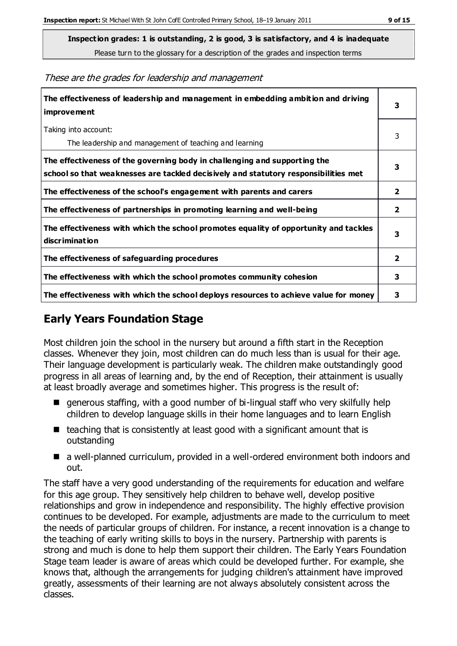**Inspection grades: 1 is outstanding, 2 is good, 3 is satisfactory, and 4 is inadequate**

Please turn to the glossary for a description of the grades and inspection terms

These are the grades for leadership and management

| The effectiveness of leadership and management in embedding ambition and driving<br>improvement                                                                  |                |
|------------------------------------------------------------------------------------------------------------------------------------------------------------------|----------------|
| Taking into account:<br>The leadership and management of teaching and learning                                                                                   | 3              |
| The effectiveness of the governing body in challenging and supporting the<br>school so that weaknesses are tackled decisively and statutory responsibilities met | 3              |
| The effectiveness of the school's engagement with parents and carers                                                                                             | $\mathbf{2}$   |
| The effectiveness of partnerships in promoting learning and well-being                                                                                           | $\overline{2}$ |
| The effectiveness with which the school promotes equality of opportunity and tackles<br>discrimination                                                           | 3              |
| The effectiveness of safeguarding procedures                                                                                                                     | $\overline{2}$ |
| The effectiveness with which the school promotes community cohesion                                                                                              |                |
| The effectiveness with which the school deploys resources to achieve value for money                                                                             |                |

## **Early Years Foundation Stage**

Most children join the school in the nursery but around a fifth start in the Reception classes. Whenever they join, most children can do much less than is usual for their age. Their language development is particularly weak. The children make outstandingly good progress in all areas of learning and, by the end of Reception, their attainment is usually at least broadly average and sometimes higher. This progress is the result of:

- generous staffing, with a good number of bi-lingual staff who very skilfully help children to develop language skills in their home languages and to learn English
- $\blacksquare$  teaching that is consistently at least good with a significant amount that is outstanding
- a well-planned curriculum, provided in a well-ordered environment both indoors and out.

The staff have a very good understanding of the requirements for education and welfare for this age group. They sensitively help children to behave well, develop positive relationships and grow in independence and responsibility. The highly effective provision continues to be developed. For example, adjustments are made to the curriculum to meet the needs of particular groups of children. For instance, a recent innovation is a change to the teaching of early writing skills to boys in the nursery. Partnership with parents is strong and much is done to help them support their children. The Early Years Foundation Stage team leader is aware of areas which could be developed further. For example, she knows that, although the arrangements for judging children's attainment have improved greatly, assessments of their learning are not always absolutely consistent across the classes.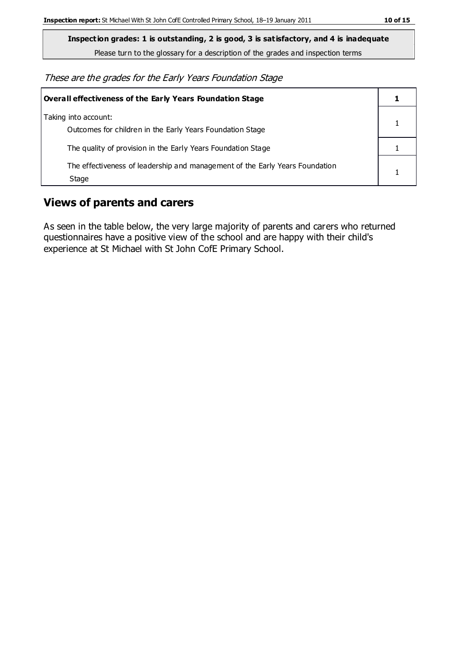**Inspection grades: 1 is outstanding, 2 is good, 3 is satisfactory, and 4 is inadequate**

Please turn to the glossary for a description of the grades and inspection terms

These are the grades for the Early Years Foundation Stage

| Overall effectiveness of the Early Years Foundation Stage                             |  |
|---------------------------------------------------------------------------------------|--|
| Taking into account:<br>Outcomes for children in the Early Years Foundation Stage     |  |
| The quality of provision in the Early Years Foundation Stage                          |  |
| The effectiveness of leadership and management of the Early Years Foundation<br>Stage |  |

## **Views of parents and carers**

As seen in the table below, the very large majority of parents and carers who returned questionnaires have a positive view of the school and are happy with their child's experience at St Michael with St John CofE Primary School.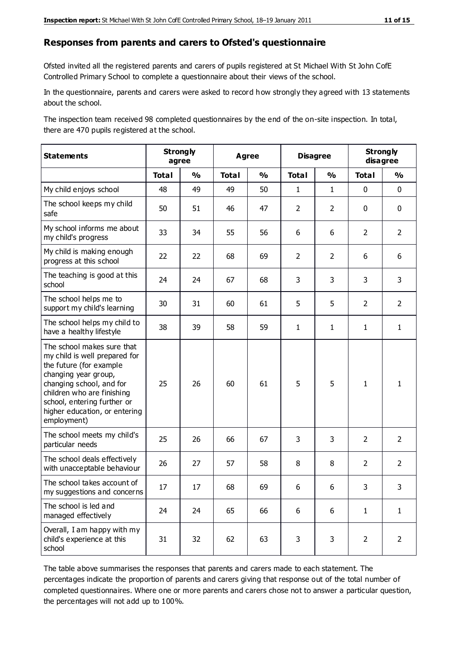#### **Responses from parents and carers to Ofsted's questionnaire**

Ofsted invited all the registered parents and carers of pupils registered at St Michael With St John CofE Controlled Primary School to complete a questionnaire about their views of the school.

In the questionnaire, parents and carers were asked to record how strongly they agreed with 13 statements about the school.

The inspection team received 98 completed questionnaires by the end of the on-site inspection. In total, there are 470 pupils registered at the school.

| <b>Statements</b>                                                                                                                                                                                                                                       | <b>Strongly</b><br>agree |               | <b>Agree</b> |               |                | <b>Disagree</b>         |                | <b>Strongly</b><br>disagree |  |
|---------------------------------------------------------------------------------------------------------------------------------------------------------------------------------------------------------------------------------------------------------|--------------------------|---------------|--------------|---------------|----------------|-------------------------|----------------|-----------------------------|--|
|                                                                                                                                                                                                                                                         | <b>Total</b>             | $\frac{1}{2}$ | <b>Total</b> | $\frac{1}{2}$ | <b>Total</b>   | $\mathbf{O}/\mathbf{o}$ | <b>Total</b>   | $\frac{1}{2}$               |  |
| My child enjoys school                                                                                                                                                                                                                                  | 48                       | 49            | 49           | 50            | $\mathbf{1}$   | $\mathbf{1}$            | $\mathbf 0$    | $\mathbf 0$                 |  |
| The school keeps my child<br>safe                                                                                                                                                                                                                       | 50                       | 51            | 46           | 47            | $\overline{2}$ | $\overline{2}$          | $\mathbf 0$    | $\mathbf 0$                 |  |
| My school informs me about<br>my child's progress                                                                                                                                                                                                       | 33                       | 34            | 55           | 56            | 6              | 6                       | $\overline{2}$ | $\overline{2}$              |  |
| My child is making enough<br>progress at this school                                                                                                                                                                                                    | 22                       | 22            | 68           | 69            | $\overline{2}$ | $\overline{2}$          | 6              | 6                           |  |
| The teaching is good at this<br>school                                                                                                                                                                                                                  | 24                       | 24            | 67           | 68            | 3              | 3                       | 3              | 3                           |  |
| The school helps me to<br>support my child's learning                                                                                                                                                                                                   | 30                       | 31            | 60           | 61            | 5              | 5                       | $\overline{2}$ | $\overline{2}$              |  |
| The school helps my child to<br>have a healthy lifestyle                                                                                                                                                                                                | 38                       | 39            | 58           | 59            | $\mathbf{1}$   | $\mathbf{1}$            | $\mathbf{1}$   | $\mathbf{1}$                |  |
| The school makes sure that<br>my child is well prepared for<br>the future (for example<br>changing year group,<br>changing school, and for<br>children who are finishing<br>school, entering further or<br>higher education, or entering<br>employment) | 25                       | 26            | 60           | 61            | 5              | 5                       | $\mathbf{1}$   | 1                           |  |
| The school meets my child's<br>particular needs                                                                                                                                                                                                         | 25                       | 26            | 66           | 67            | 3              | 3                       | $\overline{2}$ | $\overline{2}$              |  |
| The school deals effectively<br>with unacceptable behaviour                                                                                                                                                                                             | 26                       | 27            | 57           | 58            | 8              | 8                       | $\overline{2}$ | $\overline{2}$              |  |
| The school takes account of<br>my suggestions and concerns                                                                                                                                                                                              | 17                       | 17            | 68           | 69            | 6              | 6                       | 3              | 3                           |  |
| The school is led and<br>managed effectively                                                                                                                                                                                                            | 24                       | 24            | 65           | 66            | 6              | 6                       | $\mathbf{1}$   | $\mathbf{1}$                |  |
| Overall, I am happy with my<br>child's experience at this<br>school                                                                                                                                                                                     | 31                       | 32            | 62           | 63            | 3              | 3                       | $\overline{2}$ | $\overline{2}$              |  |

The table above summarises the responses that parents and carers made to each statement. The percentages indicate the proportion of parents and carers giving that response out of the total number of completed questionnaires. Where one or more parents and carers chose not to answer a particular question, the percentages will not add up to 100%.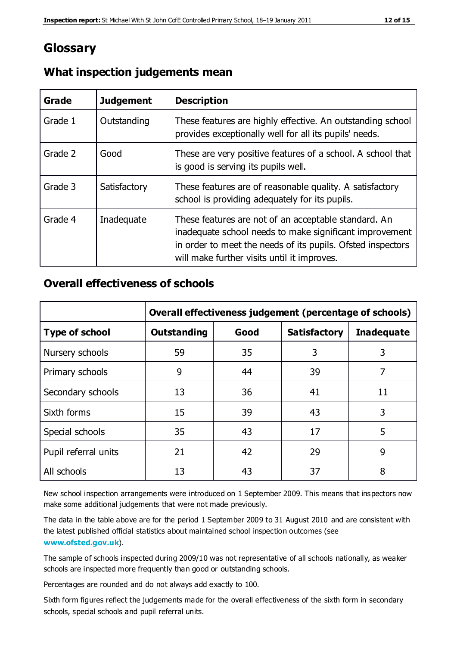## **Glossary**

| Grade   | <b>Judgement</b> | <b>Description</b>                                                                                                                                                                                                            |
|---------|------------------|-------------------------------------------------------------------------------------------------------------------------------------------------------------------------------------------------------------------------------|
| Grade 1 | Outstanding      | These features are highly effective. An outstanding school<br>provides exceptionally well for all its pupils' needs.                                                                                                          |
| Grade 2 | Good             | These are very positive features of a school. A school that<br>is good is serving its pupils well.                                                                                                                            |
| Grade 3 | Satisfactory     | These features are of reasonable quality. A satisfactory<br>school is providing adequately for its pupils.                                                                                                                    |
| Grade 4 | Inadequate       | These features are not of an acceptable standard. An<br>inadequate school needs to make significant improvement<br>in order to meet the needs of its pupils. Ofsted inspectors<br>will make further visits until it improves. |

#### **What inspection judgements mean**

#### **Overall effectiveness of schools**

|                       | Overall effectiveness judgement (percentage of schools) |      |                     |                   |
|-----------------------|---------------------------------------------------------|------|---------------------|-------------------|
| <b>Type of school</b> | <b>Outstanding</b>                                      | Good | <b>Satisfactory</b> | <b>Inadequate</b> |
| Nursery schools       | 59                                                      | 35   | 3                   | 3                 |
| Primary schools       | 9                                                       | 44   | 39                  | 7                 |
| Secondary schools     | 13                                                      | 36   | 41                  | 11                |
| Sixth forms           | 15                                                      | 39   | 43                  | 3                 |
| Special schools       | 35                                                      | 43   | 17                  | 5                 |
| Pupil referral units  | 21                                                      | 42   | 29                  | 9                 |
| All schools           | 13                                                      | 43   | 37                  | 8                 |

New school inspection arrangements were introduced on 1 September 2009. This means that inspectors now make some additional judgements that were not made previously.

The data in the table above are for the period 1 September 2009 to 31 August 2010 and are consistent with the latest published official statistics about maintained school inspection outcomes (see **[www.ofsted.gov.uk](http://www.ofsted.gov.uk/)**).

The sample of schools inspected during 2009/10 was not representative of all schools nationally, as weaker schools are inspected more frequently than good or outstanding schools.

Percentages are rounded and do not always add exactly to 100.

Sixth form figures reflect the judgements made for the overall effectiveness of the sixth form in secondary schools, special schools and pupil referral units.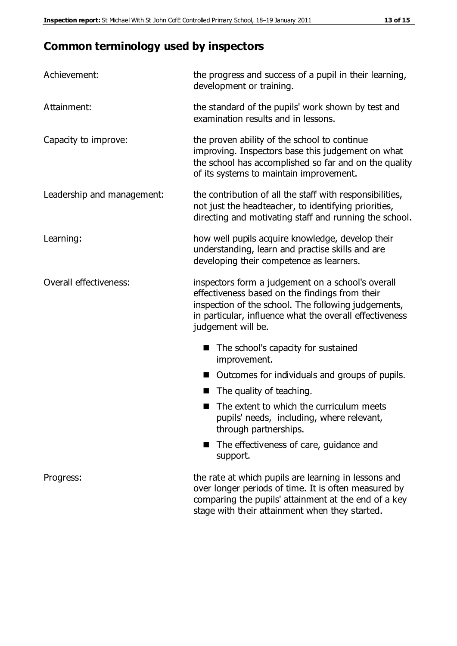# **Common terminology used by inspectors**

| Achievement:               | the progress and success of a pupil in their learning,<br>development or training.                                                                                                                                                          |  |  |
|----------------------------|---------------------------------------------------------------------------------------------------------------------------------------------------------------------------------------------------------------------------------------------|--|--|
| Attainment:                | the standard of the pupils' work shown by test and<br>examination results and in lessons.                                                                                                                                                   |  |  |
| Capacity to improve:       | the proven ability of the school to continue<br>improving. Inspectors base this judgement on what<br>the school has accomplished so far and on the quality<br>of its systems to maintain improvement.                                       |  |  |
| Leadership and management: | the contribution of all the staff with responsibilities,<br>not just the headteacher, to identifying priorities,<br>directing and motivating staff and running the school.                                                                  |  |  |
| Learning:                  | how well pupils acquire knowledge, develop their<br>understanding, learn and practise skills and are<br>developing their competence as learners.                                                                                            |  |  |
| Overall effectiveness:     | inspectors form a judgement on a school's overall<br>effectiveness based on the findings from their<br>inspection of the school. The following judgements,<br>in particular, influence what the overall effectiveness<br>judgement will be. |  |  |
|                            | The school's capacity for sustained<br>improvement.                                                                                                                                                                                         |  |  |
|                            | Outcomes for individuals and groups of pupils.                                                                                                                                                                                              |  |  |
|                            | The quality of teaching.                                                                                                                                                                                                                    |  |  |
|                            | The extent to which the curriculum meets<br>pupils' needs, including, where relevant,<br>through partnerships.                                                                                                                              |  |  |
|                            | The effectiveness of care, guidance and<br>support.                                                                                                                                                                                         |  |  |
| Progress:                  | the rate at which pupils are learning in lessons and<br>over longer periods of time. It is often measured by<br>comparing the pupils' attainment at the end of a key                                                                        |  |  |

stage with their attainment when they started.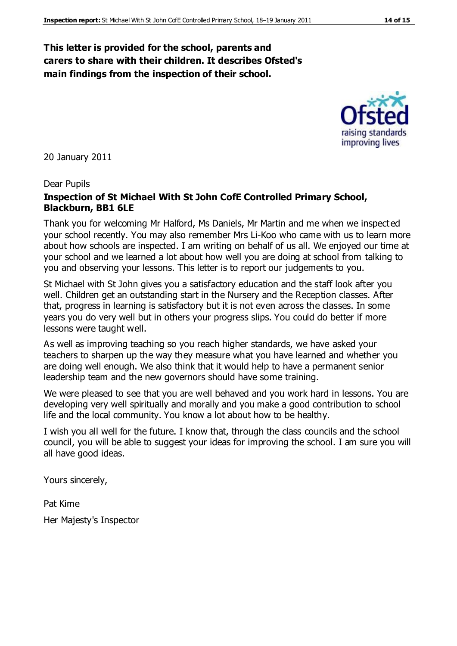#### **This letter is provided for the school, parents and carers to share with their children. It describes Ofsted's main findings from the inspection of their school.**

20 January 2011

#### Dear Pupils

#### **Inspection of St Michael With St John CofE Controlled Primary School, Blackburn, BB1 6LE**

Thank you for welcoming Mr Halford, Ms Daniels, Mr Martin and me when we inspected your school recently. You may also remember Mrs Li-Koo who came with us to learn more about how schools are inspected. I am writing on behalf of us all. We enjoyed our time at your school and we learned a lot about how well you are doing at school from talking to you and observing your lessons. This letter is to report our judgements to you.

St Michael with St John gives you a satisfactory education and the staff look after you well. Children get an outstanding start in the Nursery and the Reception classes. After that, progress in learning is satisfactory but it is not even across the classes. In some years you do very well but in others your progress slips. You could do better if more lessons were taught well.

As well as improving teaching so you reach higher standards, we have asked your teachers to sharpen up the way they measure what you have learned and whether you are doing well enough. We also think that it would help to have a permanent senior leadership team and the new governors should have some training.

We were pleased to see that you are well behaved and you work hard in lessons. You are developing very well spiritually and morally and you make a good contribution to school life and the local community. You know a lot about how to be healthy.

I wish you all well for the future. I know that, through the class councils and the school council, you will be able to suggest your ideas for improving the school. I am sure you will all have good ideas.

Yours sincerely,

Pat Kime Her Majesty's Inspector